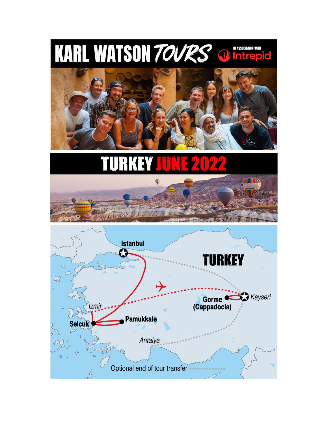

Antalya

Optional end of tour transfer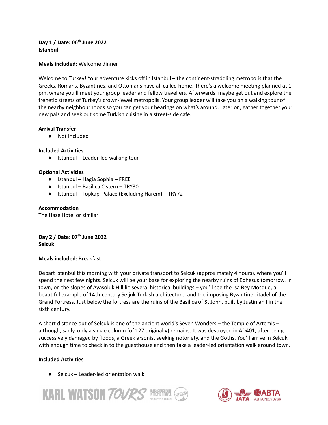### **Day 1 / Date: 06 th June 2022 Istanbul**

#### **Meals included:** Welcome dinner

Welcome to Turkey! Your adventure kicks off in Istanbul – the continent-straddling metropolis that the Greeks, Romans, Byzantines, and Ottomans have all called home. There's a welcome meeting planned at 1 pm, where you'll meet your group leader and fellow travellers. Afterwards, maybe get out and explore the frenetic streets of Turkey's crown-jewel metropolis. Your group leader will take you on a walking tour of the nearby neighbourhoods so you can get your bearings on what's around. Later on, gather together your new pals and seek out some Turkish cuisine in a street-side cafe.

### **Arrival Transfer**

● Not Included

### **Included Activities**

● Istanbul – Leader-led walking tour

#### **Optional Activities**

- Istanbul Hagia Sophia FREE
- Istanbul Basilica Cistern TRY30
- Istanbul Topkapi Palace (Excluding Harem) TRY72

#### **Accommodation**

The Haze Hotel or similar

### **Day 2 / Date: 07 th June 2022 Selcuk**

### **Meals included:** Breakfast

Depart Istanbul this morning with your private transport to Selcuk (approximately 4 hours), where you'll spend the next few nights. Selcuk will be your base for exploring the nearby ruins of Ephesus tomorrow. In town, on the slopes of Ayasoluk Hill lie several historical buildings – you'll see the Isa Bey Mosque, a beautiful example of 14th-century Seljuk Turkish architecture, and the imposing Byzantine citadel of the Grand Fortress. Just below the fortress are the ruins of the Basilica of St John, built by Justinian I in the sixth century.

A short distance out of Selcuk is one of the ancient world's Seven Wonders – the Temple of Artemis – although, sadly, only a single column (of 127 originally) remains. It was destroyed in AD401, after being successively damaged by floods, a Greek arsonist seeking notoriety, and the Goths. You'll arrive in Selcuk with enough time to check in to the guesthouse and then take a leader-led orientation walk around town.

### **Included Activities**

Selcuk – Leader-led orientation walk



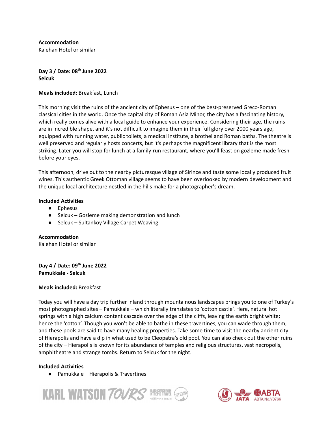**Accommodation** Kalehan Hotel or similar

### **Day 3 / Date: 08 th June 2022 Selcuk**

### **Meals included:** Breakfast, Lunch

This morning visit the ruins of the ancient city of Ephesus – one of the best-preserved Greco-Roman classical cities in the world. Once the capital city of Roman Asia Minor, the city has a fascinating history, which really comes alive with a local guide to enhance your experience. Considering their age, the ruins are in incredible shape, and it's not difficult to imagine them in their full glory over 2000 years ago, equipped with running water, public toilets, a medical institute, a brothel and Roman baths. The theatre is well preserved and regularly hosts concerts, but it's perhaps the magnificent library that is the most striking. Later you will stop for lunch at a family-run restaurant, where you'll feast on gozleme made fresh before your eyes.

This afternoon, drive out to the nearby picturesque village of Sirince and taste some locally produced fruit wines. This authentic Greek Ottoman village seems to have been overlooked by modern development and the unique local architecture nestled in the hills make for a photographer's dream.

#### **Included Activities**

- Ephesus
- Selcuk Gozleme making demonstration and lunch
- Selcuk Sultankoy Village Carpet Weaving

**Accommodation** Kalehan Hotel or similar

**Day 4 / Date: 09 th June 2022 Pamukkale - Selcuk**

### **Meals included:** Breakfast

Today you will have a day trip further inland through mountainous landscapes brings you to one of Turkey's most photographed sites – Pamukkale – which literally translates to 'cotton castle'. Here, natural hot springs with a high calcium content cascade over the edge of the cliffs, leaving the earth bright white; hence the 'cotton'. Though you won't be able to bathe in these travertines, you can wade through them, and these pools are said to have many healing properties. Take some time to visit the nearby ancient city of Hierapolis and have a dip in what used to be Cleopatra's old pool. You can also check out the other ruins of the city – Hierapolis is known for its abundance of temples and religious structures, vast necropolis, amphitheatre and strange tombs. Return to Selcuk for the night.

#### **Included Activities**

● Pamukkale – Hierapolis & Travertines



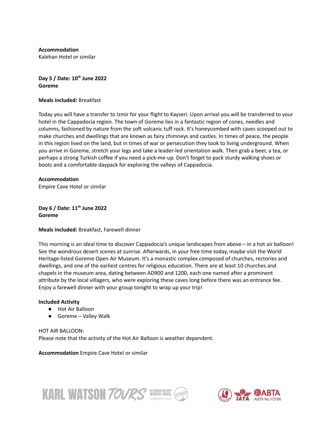**Accommodation** Kalehan Hotel or similar

**Day 5 / Date: 10 th June 2022 Goreme**

#### **Meals included:** Breakfast

Today you will have a transfer to Izmir for your flight to Kayseri. Upon arrival you will be transferred to your hotel in the Cappadocia region. The town of Goreme lies in a fantastic region of cones, needles and columns, fashioned by nature from the soft volcanic tuff rock. It's honeycombed with caves scooped out to make churches and dwellings that are known as fairy chimneys and castles. In times of peace, the people in this region lived on the land, but in times of war or persecution they took to living underground. When you arrive in Goreme, stretch your legs and take a leader-led orientation walk. Then grab a beer, a tea, or perhaps a strong Turkish coffee if you need a pick-me-up. Don't forget to pack sturdy walking shoes or boots and a comfortable daypack for exploring the valleys of Cappadocia.

**Accommodation** Empire Cave Hotel or similar

**Day 6 / Date: 11 th June 2022 Goreme**

#### **Meals included:** Breakfast, Farewell dinner

This morning is an ideal time to discover Cappadocia's unique landscapes from above – in a hot air balloon! See the wondrous desert scenes at sunrise. Afterwards, in your free time today, maybe visit the World Heritage-listed Goreme Open Air Museum. It's a monastic complex composed of churches, rectories and dwellings, and one of the earliest centres for religious education. There are at least 10 churches and chapels in the museum area, dating between AD900 and 1200, each one named after a prominent attribute by the local villagers, who were exploring these caves long before there was an entrance fee. Enjoy a farewell dinner with your group tonight to wrap up your trip!

#### **Included Activity**

- Hot Air Balloon
- Goreme Valley Walk

HOT AIR BALLOON: Please note that the activity of the Hot Air Balloon is weather dependent.

**Accommodation** Empire Cave Hotel or similar



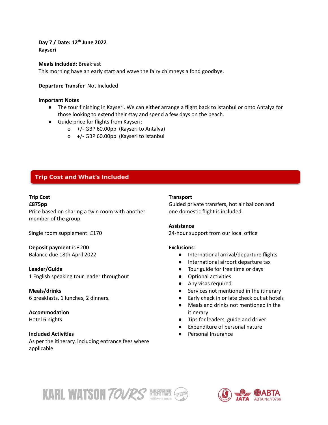### **Day 7 / Date: 12 th June 2022 Kayseri**

**Meals included:** Breakfast

This morning have an early start and wave the fairy chimneys a fond goodbye.

#### **Departure Transfer** Not Included

#### **Important Notes**

- The tour finishing in Kayseri. We can either arrange a flight back to Istanbul or onto Antalya for those looking to extend their stay and spend a few days on the beach.
- Guide price for flights from Kayseri;
	- o +/- GBP 60.00pp (Kayseri to Antalya)
	- o +/- GBP 60.00pp (Kayseri to Istanbul

# **Trip Cost and What's Included**

#### **Trip Cost £875pp**

Price based on sharing a twin room with another member of the group.

Single room supplement: £170

**Deposit payment** is £200 Balance due 18th April 2022

#### **Leader/Guide**

1 English speaking tour leader throughout

# **Meals/drinks**

6 breakfasts, 1 lunches, 2 dinners.

#### **Accommodation** Hotel 6 nights

### **Included Activities**

As per the itinerary, including entrance fees where applicable.

### **Transport**

Guided private transfers, hot air balloon and one domestic flight is included.

### **Assistance**

24-hour support from our local office

### **Exclusions**:

- International arrival/departure flights
- International airport departure tax
- Tour guide for free time or days
- Optional activities
- Any visas required
- Services not mentioned in the itinerary
- Early check in or late check out at hotels
- Meals and drinks not mentioned in the itinerary
- Tips for leaders, guide and driver
- Expenditure of personal nature
- Personal Insurance



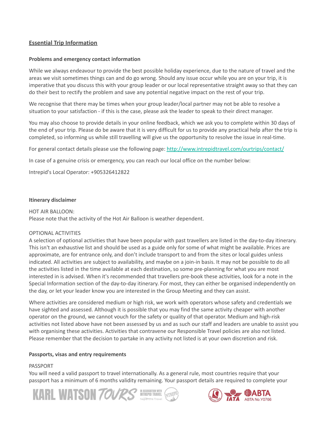# **Essential Trip Information**

### **Problems and emergency contact information**

While we always endeavour to provide the best possible holiday experience, due to the nature of travel and the areas we visit sometimes things can and do go wrong. Should any issue occur while you are on your trip, it is imperative that you discuss this with your group leader or our local representative straight away so that they can do their best to rectify the problem and save any potential negative impact on the rest of your trip.

We recognise that there may be times when your group leader/local partner may not be able to resolve a situation to your satisfaction - if this is the case, please ask the leader to speak to their direct manager.

You may also choose to provide details in your online feedback, which we ask you to complete within 30 days of the end of your trip. Please do be aware that it is very difficult for us to provide any practical help after the trip is completed, so informing us while still travelling will give us the opportunity to resolve the issue in real-time.

For general contact details please use the following page: <http://www.intrepidtravel.com/ourtrips/contact/>

In case of a genuine crisis or emergency, you can reach our local office on the number below:

Intrepid's Local Operator: +905326412822

### **Itinerary disclaimer**

HOT AIR BALLOON: Please note that the activity of the Hot Air Balloon is weather dependent.

### OPTIONAL ACTIVITIES

A selection of optional activities that have been popular with past travellers are listed in the day-to-day itinerary. This isn't an exhaustive list and should be used as a guide only for some of what might be available. Prices are approximate, are for entrance only, and don't include transport to and from the sites or local guides unless indicated. All activities are subject to availability, and maybe on a join-in basis. It may not be possible to do all the activities listed in the time available at each destination, so some pre-planning for what you are most interested in is advised. When it's recommended that travellers pre-book these activities, look for a note in the Special Information section of the day-to-day itinerary. For most, they can either be organised independently on the day, or let your leader know you are interested in the Group Meeting and they can assist.

Where activities are considered medium or high risk, we work with operators whose safety and credentials we have sighted and assessed. Although it is possible that you may find the same activity cheaper with another operator on the ground, we cannot vouch for the safety or quality of that operator. Medium and high-risk activities not listed above have not been assessed by us and as such our staff and leaders are unable to assist you with organising these activities. Activities that contravene our Responsible Travel policies are also not listed. Please remember that the decision to partake in any activity not listed is at your own discretion and risk.

### **Passports, visas and entry requirements**

### **PASSPORT**

You will need a valid passport to travel internationally. As a general rule, most countries require that your passport has a minimum of 6 months validity remaining. Your passport details are required to complete your



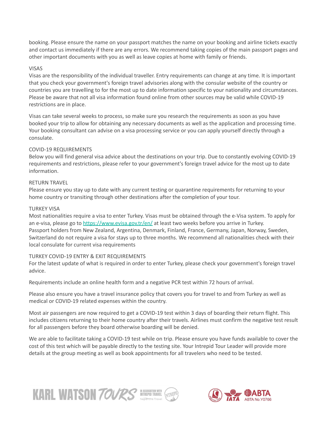booking. Please ensure the name on your passport matches the name on your booking and airline tickets exactly and contact us immediately if there are any errors. We recommend taking copies of the main passport pages and other important documents with you as well as leave copies at home with family or friends.

#### VISAS

Visas are the responsibility of the individual traveller. Entry requirements can change at any time. It is important that you check your government's foreign travel advisories along with the consular website of the country or countries you are travelling to for the most up to date information specific to your nationality and circumstances. Please be aware that not all visa information found online from other sources may be valid while COVID-19 restrictions are in place.

Visas can take several weeks to process, so make sure you research the requirements as soon as you have booked your trip to allow for obtaining any necessary documents as well as the application and processing time. Your booking consultant can advise on a visa processing service or you can apply yourself directly through a consulate.

#### COVID-19 REQUIREMENTS

Below you will find general visa advice about the destinations on your trip. Due to constantly evolving COVID-19 requirements and restrictions, please refer to your government's foreign travel advice for the most up to date information.

#### RETURN TRAVEL

Please ensure you stay up to date with any current testing or quarantine requirements for returning to your home country or transiting through other destinations after the completion of your tour.

#### TURKEY VISA

Most nationalities require a visa to enter Turkey. Visas must be obtained through the e-Visa system. To apply for an e-visa, please go to <https://www.evisa.gov.tr/en/> at least two weeks before you arrive in Turkey. Passport holders from New Zealand, Argentina, Denmark, Finland, France, Germany, Japan, Norway, Sweden, Switzerland do not require a visa for stays up to three months. We recommend all nationalities check with their local consulate for current visa requirements

#### TURKEY COVID-19 ENTRY & EXIT REQUIREMENTS

For the latest update of what is required in order to enter Turkey, please check your government's foreign travel advice.

Requirements include an online health form and a negative PCR test within 72 hours of arrival.

Please also ensure you have a travel insurance policy that covers you for travel to and from Turkey as well as medical or COVID-19 related expenses within the country.

Most air passengers are now required to get a COVID-19 test within 3 days of boarding their return flight. This includes citizens returning to their home country after their travels. Airlines must confirm the negative test result for all passengers before they board otherwise boarding will be denied.

We are able to facilitate taking a COVID-19 test while on trip. Please ensure you have funds available to cover the cost of this test which will be payable directly to the testing site. Your Intrepid Tour Leader will provide more details at the group meeting as well as book appointments for all travelers who need to be tested.



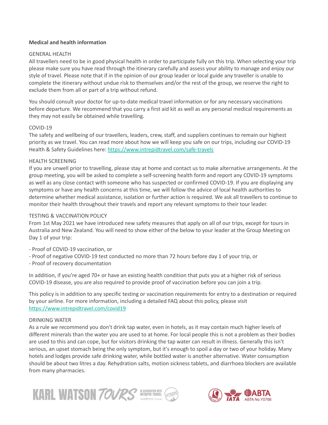#### **Medical and health information**

#### GENERAL HEALTH

All travellers need to be in good physical health in order to participate fully on this trip. When selecting your trip please make sure you have read through the itinerary carefully and assess your ability to manage and enjoy our style of travel. Please note that if in the opinion of our group leader or local guide any traveller is unable to complete the itinerary without undue risk to themselves and/or the rest of the group, we reserve the right to exclude them from all or part of a trip without refund.

You should consult your doctor for up-to-date medical travel information or for any necessary vaccinations before departure. We recommend that you carry a first aid kit as well as any personal medical requirements as they may not easily be obtained while travelling.

#### COVID-19

The safety and wellbeing of our travellers, leaders, crew, staff, and suppliers continues to remain our highest priority as we travel. You can read more about how we will keep you safe on our trips, including our COVID-19 Health & Safety Guidelines here: <https://www.intrepidtravel.com/safe-travels>

#### HEALTH SCREENING

If you are unwell prior to travelling, please stay at home and contact us to make alternative arrangements. At the group meeting, you will be asked to complete a self-screening health form and report any COVID-19 symptoms as well as any close contact with someone who has suspected or confirmed COVID-19. If you are displaying any symptoms or have any health concerns at this time, we will follow the advice of local health authorities to determine whether medical assistance, isolation or further action is required. We ask all travellers to continue to monitor their health throughout their travels and report any relevant symptoms to their tour leader.

#### TESTING & VACCINATION POLICY

From 1st May 2021 we have introduced new safety measures that apply on all of our trips, except for tours in Australia and New Zealand. You will need to show either of the below to your leader at the Group Meeting on Day 1 of your trip:

- Proof of COVID-19 vaccination, or
- Proof of negative COVID-19 test conducted no more than 72 hours before day 1 of your trip, or
- Proof of recovery documentation

In addition, if you're aged 70+ or have an existing health condition that puts you at a higher risk of serious COVID-19 disease, you are also required to provide proof of vaccination before you can join a trip.

This policy is in addition to any specific testing or vaccination requirements for entry to a destination or required by your airline. For more information, including a detailed FAQ about this policy, please visit <https://www.intrepidtravel.com/covid19>

### DRINKING WATER

As a rule we recommend you don't drink tap water, even in hotels, as it may contain much higher levels of different minerals than the water you are used to at home. For local people this is not a problem as their bodies are used to this and can cope, but for visitors drinking the tap water can result in illness. Generally this isn't serious, an upset stomach being the only symptom, but it's enough to spoil a day or two of your holiday. Many hotels and lodges provide safe drinking water, while bottled water is another alternative. Water consumption should be about two litres a day. Rehydration salts, motion sickness tablets, and diarrhoea blockers are available from many pharmacies.



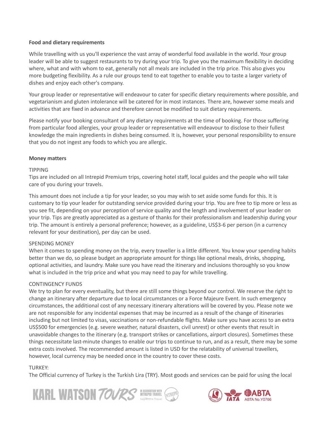### **Food and dietary requirements**

While travelling with us you'll experience the vast array of wonderful food available in the world. Your group leader will be able to suggest restaurants to try during your trip. To give you the maximum flexibility in deciding where, what and with whom to eat, generally not all meals are included in the trip price. This also gives you more budgeting flexibility. As a rule our groups tend to eat together to enable you to taste a larger variety of dishes and enjoy each other's company.

Your group leader or representative will endeavour to cater for specific dietary requirements where possible, and vegetarianism and gluten intolerance will be catered for in most instances. There are, however some meals and activities that are fixed in advance and therefore cannot be modified to suit dietary requirements.

Please notify your booking consultant of any dietary requirements at the time of booking. For those suffering from particular food allergies, your group leader or representative will endeavour to disclose to their fullest knowledge the main ingredients in dishes being consumed. It is, however, your personal responsibility to ensure that you do not ingest any foods to which you are allergic.

### **Money matters**

### TIPPING

Tips are included on all Intrepid Premium trips, covering hotel staff, local guides and the people who will take care of you during your travels.

This amount does not include a tip for your leader, so you may wish to set aside some funds for this. It is customary to tip your leader for outstanding service provided during your trip. You are free to tip more or less as you see fit, depending on your perception of service quality and the length and involvement of your leader on your trip. Tips are greatly appreciated as a gesture of thanks for their professionalism and leadership during your trip. The amount is entirely a personal preference; however, as a guideline, US\$3-6 per person (in a currency relevant for your destination), per day can be used.

### SPENDING MONEY

When it comes to spending money on the trip, every traveller is a little different. You know your spending habits better than we do, so please budget an appropriate amount for things like optional meals, drinks, shopping, optional activities, and laundry. Make sure you have read the itinerary and inclusions thoroughly so you know what is included in the trip price and what you may need to pay for while travelling.

### CONTINGENCY FUNDS

We try to plan for every eventuality, but there are still some things beyond our control. We reserve the right to change an itinerary after departure due to local circumstances or a Force Majeure Event. In such emergency circumstances, the additional cost of any necessary itinerary alterations will be covered by you. Please note we are not responsible for any incidental expenses that may be incurred as a result of the change of itineraries including but not limited to visas, vaccinations or non-refundable flights. Make sure you have access to an extra US\$500 for emergencies (e.g. severe weather, natural disasters, civil unrest) or other events that result in unavoidable changes to the itinerary (e.g. transport strikes or cancellations, airport closures). Sometimes these things necessitate last-minute changes to enable our trips to continue to run, and as a result, there may be some extra costs involved. The recommended amount is listed in USD for the relatability of universal travellers, however, local currency may be needed once in the country to cover these costs.

### TURKEY:

The Official currency of Turkey is the Turkish Lira (TRY). Most goods and services can be paid for using the local

**KARL WATSON TOVRS** NEED TRAVEL

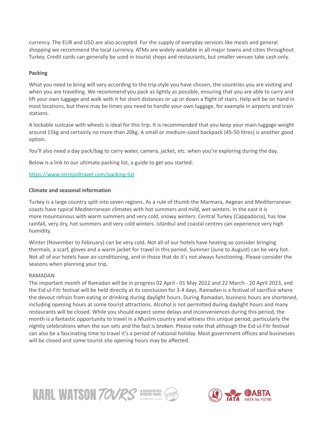currency. The EUR and USD are also accepted. For the supply of everyday services like meals and general shopping we recommend the local currency. ATMs are widely available in all major towns and cities throughout Turkey. Credit cards can generally be used in tourist shops and restaurants, but smaller venues take cash only.

### **Packing**

What you need to bring will vary according to the trip style you have chosen, the countries you are visiting and when you are travelling. We recommend you pack as lightly as possible, ensuring that you are able to carry and lift your own luggage and walk with it for short distances or up or down a flight of stairs. Help will be on hand in most locations, but there may be times you need to handle your own luggage, for example in airports and train stations.

A lockable suitcase with wheels is ideal for this trip. It is recommended that you keep your main luggage weight around 15kg and certainly no more than 20kg. A small or medium-sized backpack (45-50 litres) is another good option.

You'll also need a day pack/bag to carry water, camera, jacket, etc. when you're exploring during the day.

Below is a link to our ultimate packing list, a guide to get you started:

### <https://www.intrepidtravel.com/packing-list>

### **Climate and seasonal information**

Turkey is a large country split into seven regions. As a rule of thumb the Marmara, Aegean and Mediterranean coasts have typical Mediterranean climates with hot summers and mild, wet winters. In the east it is more mountainous with warm summers and very cold, snowy winters. Central Turkey (Cappadocia), has low rainfall, very dry, hot summers and very cold winters. Istanbul and coastal centres can experience very high humidity.

Winter (November to February) can be very cold. Not all of our hotels have heating so consider bringing thermals, a scarf, gloves and a warm jacket for travel in this period. Summer (June to August) can be very hot. Not all of our hotels have air-conditioning, and in those that do it's not always functioning. Please consider the seasons when planning your trip.

### RAMADAN

The important month of Ramadan will be in progress 02 April - 01 May 2022 and 22 March - 20 April 2023, and the Eid ul-Fitr festival will be held directly at its conclusion for 3-4 days. Ramadan is a festival of sacrifice where the devout refrain from eating or drinking during daylight hours. During Ramadan, business hours are shortened, including opening hours at some tourist attractions. Alcohol is not permitted during daylight hours and many restaurants will be closed. While you should expect some delays and inconveniences during this period, the month is a fantastic opportunity to travel in a Muslim country and witness this unique period, particularly the nightly celebrations when the sun sets and the fast is broken. Please note that although the Eid ul-Fitr festival can also be a fascinating time to travel it's a period of national holiday. Most government offices and businesses will be closed and some tourist site opening hours may be affected.



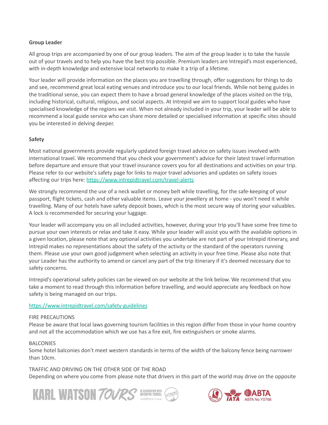### **Group Leader**

All group trips are accompanied by one of our group leaders. The aim of the group leader is to take the hassle out of your travels and to help you have the best trip possible. Premium leaders are Intrepid's most experienced, with in-depth knowledge and extensive local networks to make it a trip of a lifetime.

Your leader will provide information on the places you are travelling through, offer suggestions for things to do and see, recommend great local eating venues and introduce you to our local friends. While not being guides in the traditional sense, you can expect them to have a broad general knowledge of the places visited on the trip, including historical, cultural, religious, and social aspects. At Intrepid we aim to support local guides who have specialised knowledge of the regions we visit. When not already included in your trip, your leader will be able to recommend a local guide service who can share more detailed or specialised information at specific sites should you be interested in delving deeper.

### **Safety**

Most national governments provide regularly updated foreign travel advice on safety issues involved with international travel. We recommend that you check your government's advice for their latest travel information before departure and ensure that your travel insurance covers you for all destinations and activities on your trip. Please refer to our website's safety page for links to major travel advisories and updates on safety issues affecting our trips here: <https://www.intrepidtravel.com/travel-alerts>

We strongly recommend the use of a neck wallet or money belt while travelling, for the safe-keeping of your passport, flight tickets, cash and other valuable items. Leave your jewellery at home - you won't need it while travelling. Many of our hotels have safety deposit boxes, which is the most secure way of storing your valuables. A lock is recommended for securing your luggage.

Your leader will accompany you on all included activities, however, during your trip you'll have some free time to pursue your own interests or relax and take it easy. While your leader will assist you with the available options in a given location, please note that any optional activities you undertake are not part of your Intrepid itinerary, and Intrepid makes no representations about the safety of the activity or the standard of the operators running them. Please use your own good judgement when selecting an activity in your free time. Please also note that your Leader has the authority to amend or cancel any part of the trip itinerary if it's deemed necessary due to safety concerns.

Intrepid's operational safety policies can be viewed on our website at the link below. We recommend that you take a moment to read through this information before travelling, and would appreciate any feedback on how safety is being managed on our trips.

### <https://www.intrepidtravel.com/safety-guidelines>

### FIRE PRECAUTIONS

Please be aware that local laws governing tourism facilities in this region differ from those in your home country and not all the accommodation which we use has a fire exit, fire extinguishers or smoke alarms.

### BALCONIES

Some hotel balconies don't meet western standards in terms of the width of the balcony fence being narrower than 10cm.

### TRAFFIC AND DRIVING ON THE OTHER SIDE OF THE ROAD

Depending on where you come from please note that drivers in this part of the world may drive on the opposite



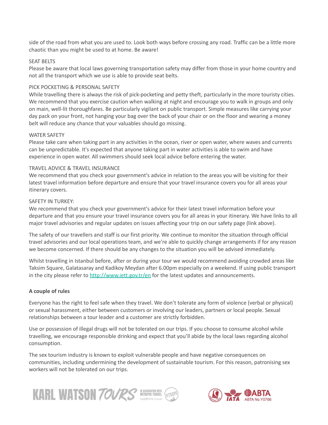side of the road from what you are used to. Look both ways before crossing any road. Traffic can be a little more chaotic than you might be used to at home. Be aware!

#### SEAT BELTS

Please be aware that local laws governing transportation safety may differ from those in your home country and not all the transport which we use is able to provide seat belts.

#### PICK POCKETING & PERSONAL SAFETY

While travelling there is always the risk of pick-pocketing and petty theft, particularly in the more touristy cities. We recommend that you exercise caution when walking at night and encourage you to walk in groups and only on main, well-lit thoroughfares. Be particularly vigilant on public transport. Simple measures like carrying your day pack on your front, not hanging your bag over the back of your chair or on the floor and wearing a money belt will reduce any chance that your valuables should go missing.

#### WATER SAFETY

Please take care when taking part in any activities in the ocean, river or open water, where waves and currents can be unpredictable. It's expected that anyone taking part in water activities is able to swim and have experience in open water. All swimmers should seek local advice before entering the water.

### TRAVEL ADVICE & TRAVEL INSURANCE

We recommend that you check your government's advice in relation to the areas you will be visiting for their latest travel information before departure and ensure that your travel insurance covers you for all areas your itinerary covers.

#### SAFETY IN TURKEY:

We recommend that you check your government's advice for their latest travel information before your departure and that you ensure your travel insurance covers you for all areas in your itinerary. We have links to all major travel advisories and regular updates on issues affecting your trip on our safety page (link above).

The safety of our travellers and staff is our first priority. We continue to monitor the situation through official travel advisories and our local operations team, and we're able to quickly change arrangements if for any reason we become concerned. If there should be any changes to the situation you will be advised immediately.

Whilst travelling in Istanbul before, after or during your tour we would recommend avoiding crowded areas like Taksim Square, Galatasaray and Kadikoy Meydan after 6.00pm especially on a weekend. If using public transport in the city please refer to <http://www.iett.gov.tr/en> for the latest updates and announcements.

### **A couple of rules**

Everyone has the right to feel safe when they travel. We don't tolerate any form of violence (verbal or physical) or sexual harassment, either between customers or involving our leaders, partners or local people. Sexual relationships between a tour leader and a customer are strictly forbidden.

Use or possession of illegal drugs will not be tolerated on our trips. If you choose to consume alcohol while travelling, we encourage responsible drinking and expect that you'll abide by the local laws regarding alcohol consumption.

The sex tourism industry is known to exploit vulnerable people and have negative consequences on communities, including undermining the development of sustainable tourism. For this reason, patronising sex workers will not be tolerated on our trips.



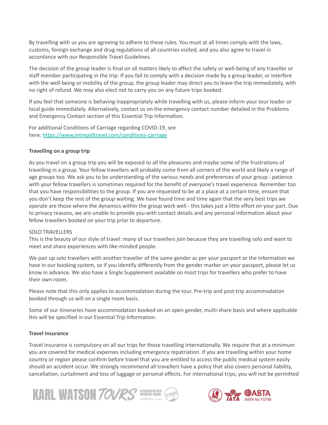By travelling with us you are agreeing to adhere to these rules. You must at all times comply with the laws, customs, foreign exchange and drug regulations of all countries visited, and you also agree to travel in accordance with our Responsible Travel Guidelines.

The decision of the group leader is final on all matters likely to affect the safety or well-being of any traveller or staff member participating in the trip. If you fail to comply with a decision made by a group leader, or interfere with the well-being or mobility of the group, the group leader may direct you to leave the trip immediately, with no right of refund. We may also elect not to carry you on any future trips booked.

If you feel that someone is behaving inappropriately while travelling with us, please inform your tour leader or local guide immediately. Alternatively, contact us on the emergency contact number detailed in the Problems and Emergency Contact section of this Essential Trip Information.

For additional Conditions of Carriage regarding COVID-19, see here: <https://www.intrepidtravel.com/conditions-carriage>

### **Travelling on a group trip**

As you travel on a group trip you will be exposed to all the pleasures and maybe some of the frustrations of travelling in a group. Your fellow travellers will probably come from all corners of the world and likely a range of age groups too. We ask you to be understanding of the various needs and preferences of your group - patience with your fellow travellers is sometimes required for the benefit of everyone's travel experience. Remember too that you have responsibilities to the group. If you are requested to be at a place at a certain time, ensure that you don't keep the rest of the group waiting. We have found time and time again that the very best trips we operate are those where the dynamics within the group work well - this takes just a little effort on your part. Due to privacy reasons, we are unable to provide you with contact details and any personal information about your fellow travellers booked on your trip prior to departure.

### SOLO TRAVELLERS

This is the beauty of our style of travel: many of our travellers join because they are travelling solo and want to meet and share experiences with like-minded people.

We pair up solo travellers with another traveller of the same gender as per your passport or the information we have in our booking system, so if you identify differently from the gender marker on your passport, please let us know in advance. We also have a Single Supplement available on most trips for travellers who prefer to have their own room.

Please note that this only applies to accommodation during the tour. Pre-trip and post-trip accommodation booked through us will on a single room basis.

Some of our itineraries have accommodation booked on an open gender, multi-share basis and where applicable this will be specified in our Essential Trip Information.

### **Travel Insurance**

Travel insurance is compulsory on all our trips for those travelling internationally. We require that at a minimum you are covered for medical expenses including emergency repatriation. If you are travelling within your home country or region please confirm before travel that you are entitled to access the public medical system easily should an accident occur. We strongly recommend all travellers have a policy that also covers personal liability, cancellation, curtailment and loss of luggage or personal effects. For international trips, you will not be permitted



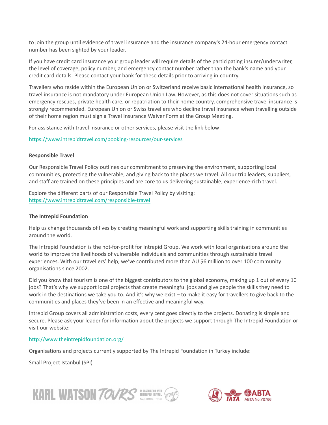to join the group until evidence of travel insurance and the insurance company's 24-hour emergency contact number has been sighted by your leader.

If you have credit card insurance your group leader will require details of the participating insurer/underwriter, the level of coverage, policy number, and emergency contact number rather than the bank's name and your credit card details. Please contact your bank for these details prior to arriving in-country.

Travellers who reside within the European Union or Switzerland receive basic international health insurance, so travel insurance is not mandatory under European Union Law. However, as this does not cover situations such as emergency rescues, private health care, or repatriation to their home country, comprehensive travel insurance is strongly recommended. European Union or Swiss travellers who decline travel insurance when travelling outside of their home region must sign a Travel Insurance Waiver Form at the Group Meeting.

For assistance with travel insurance or other services, please visit the link below:

<https://www.intrepidtravel.com/booking-resources/our-services>

#### **Responsible Travel**

Our Responsible Travel Policy outlines our commitment to preserving the environment, supporting local communities, protecting the vulnerable, and giving back to the places we travel. All our trip leaders, suppliers, and staff are trained on these principles and are core to us delivering sustainable, experience-rich travel.

Explore the different parts of our Responsible Travel Policy by visiting: <https://www.intrepidtravel.com/responsible-travel>

### **The Intrepid Foundation**

Help us change thousands of lives by creating meaningful work and supporting skills training in communities around the world.

The Intrepid Foundation is the not-for-profit for Intrepid Group. We work with local organisations around the world to improve the livelihoods of vulnerable individuals and communities through sustainable travel experiences. With our travellers' help, we've contributed more than AU \$6 million to over 100 community organisations since 2002.

Did you know that tourism is one of the biggest contributors to the global economy, making up 1 out of every 10 jobs? That's why we support local projects that create meaningful jobs and give people the skills they need to work in the destinations we take you to. And it's why we exist – to make it easy for travellers to give back to the communities and places they've been in an effective and meaningful way.

Intrepid Group covers all administration costs, every cent goes directly to the projects. Donating is simple and secure. Please ask your leader for information about the projects we support through The Intrepid Foundation or visit our website:

<http://www.theintrepidfoundation.org/>

Organisations and projects currently supported by The Intrepid Foundation in Turkey include:

Small Project Istanbul (SPI)



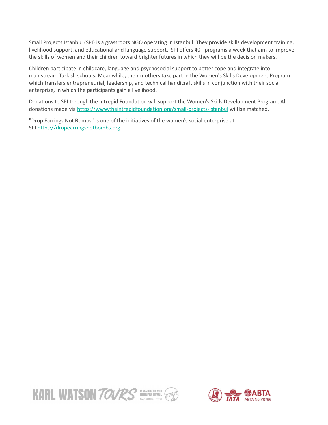Small Projects Istanbul (SPI) is a grassroots NGO operating in Istanbul. They provide skills development training, livelihood support, and educational and language support. SPI offers 40+ programs a week that aim to improve the skills of women and their children toward brighter futures in which they will be the decision makers.

Children participate in childcare, language and psychosocial support to better cope and integrate into mainstream Turkish schools. Meanwhile, their mothers take part in the Women's Skills Development Program which transfers entrepreneurial, leadership, and technical handicraft skills in conjunction with their social enterprise, in which the participants gain a livelihood.

Donations to SPI through the Intrepid Foundation will support the Women's Skills Development Program. All donations made via <https://www.theintrepidfoundation.org/small-projects-istanbul> will be matched.

"Drop Earrings Not Bombs" is one of the initiatives of the women's social enterprise at SPI [https://dropearringsnotbombs.org](https://dropearringsnotbombs.org/)



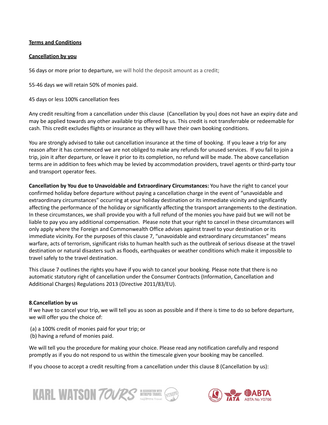### **Terms and Conditions**

### **Cancellation by you**

56 days or more prior to departure, we will hold the deposit amount as a credit;

55-46 days we will retain 50% of monies paid.

45 days or less 100% cancellation fees

Any credit resulting from a cancellation under this clause (Cancellation by you) does not have an expiry date and may be applied towards any other available trip offered by us. This credit is not transferrable or redeemable for cash. This credit excludes flights or insurance as they will have their own booking conditions.

You are strongly advised to take out cancellation insurance at the time of booking. If you leave a trip for any reason after it has commenced we are not obliged to make any refunds for unused services. If you fail to join a trip, join it after departure, or leave it prior to its completion, no refund will be made. The above cancellation terms are in addition to fees which may be levied by accommodation providers, travel agents or third-party tour and transport operator fees.

**Cancellation by You due to Unavoidable and Extraordinary Circumstances:** You have the right to cancel your confirmed holiday before departure without paying a cancellation charge in the event of "unavoidable and extraordinary circumstances" occurring at your holiday destination or its immediate vicinity and significantly affecting the performance of the holiday or significantly affecting the transport arrangements to the destination. In these circumstances, we shall provide you with a full refund of the monies you have paid but we will not be liable to pay you any additional compensation. Please note that your right to cancel in these circumstances will only apply where the Foreign and Commonwealth Office advises against travel to your destination or its immediate vicinity. For the purposes of this clause 7, "unavoidable and extraordinary circumstances" means warfare, acts of terrorism, significant risks to human health such as the outbreak of serious disease at the travel destination or natural disasters such as floods, earthquakes or weather conditions which make it impossible to travel safely to the travel destination.

This clause 7 outlines the rights you have if you wish to cancel your booking. Please note that there is no automatic statutory right of cancellation under the Consumer Contracts (Information, Cancellation and Additional Charges) Regulations 2013 (Directive 2011/83/EU).

### **8.Cancellation by us**

If we have to cancel your trip, we will tell you as soon as possible and if there is time to do so before departure, we will offer you the choice of:

- (a) a 100% credit of monies paid for your trip; or
- (b) having a refund of monies paid.

We will tell you the procedure for making your choice. Please read any notification carefully and respond promptly as if you do not respond to us within the timescale given your booking may be cancelled.

If you choose to accept a credit resulting from a cancellation under this clause 8 (Cancellation by us):



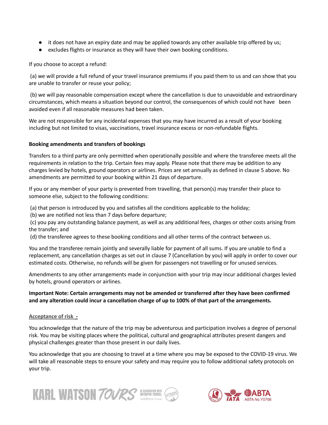- it does not have an expiry date and may be applied towards any other available trip offered by us;
- excludes flights or insurance as they will have their own booking conditions.

If you choose to accept a refund:

(a) we will provide a full refund of your travel insurance premiums if you paid them to us and can show that you are unable to transfer or reuse your policy;

(b) we will pay reasonable compensation except where the cancellation is due to unavoidable and extraordinary circumstances, which means a situation beyond our control, the consequences of which could not have been avoided even if all reasonable measures had been taken.

We are not responsible for any incidental expenses that you may have incurred as a result of your booking including but not limited to visas, vaccinations, travel insurance excess or non-refundable flights.

### **Booking amendments and transfers of bookings**

Transfers to a third party are only permitted when operationally possible and where the transferee meets all the requirements in relation to the trip. Certain fees may apply. Please note that there may be addition to any charges levied by hotels, ground operators or airlines. Prices are set annually as defined in clause 5 above. No amendments are permitted to your booking within 21 days of departure.

If you or any member of your party is prevented from travelling, that person(s) may transfer their place to someone else, subject to the following conditions:

(a) that person is introduced by you and satisfies all the conditions applicable to the holiday;

(b) we are notified not less than 7 days before departure;

(c) you pay any outstanding balance payment, as well as any additional fees, charges or other costs arising from the transfer; and

(d) the transferee agrees to these booking conditions and all other terms of the contract between us.

You and the transferee remain jointly and severally liable for payment of all sums. If you are unable to find a replacement, any cancellation charges as set out in clause 7 (Cancellation by you) will apply in order to cover our estimated costs. Otherwise, no refunds will be given for passengers not travelling or for unused services.

Amendments to any other arrangements made in conjunction with your trip may incur additional charges levied by hotels, ground operators or airlines.

# **Important Note: Certain arrangements may not be amended or transferred after they have been confirmed** and any alteration could incur a cancellation charge of up to 100% of that part of the arrangements.

### **Acceptance of risk -**

You acknowledge that the nature of the trip may be adventurous and participation involves a degree of personal risk. You may be visiting places where the political, cultural and geographical attributes present dangers and physical challenges greater than those present in our daily lives.

You acknowledge that you are choosing to travel at a time where you may be exposed to the COVID-19 virus. We will take all reasonable steps to ensure your safety and may require you to follow additional safety protocols on your trip.